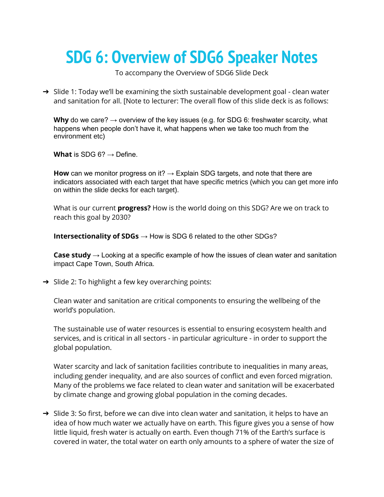## **SDG 6: Overview of SDG6 Speaker Notes**

To accompany the Overview of SDG6 Slide Deck

→ Slide 1: Today we'll be examining the sixth sustainable development goal - clean water and sanitation for all. [Note to lecturer: The overall flow of this slide deck is as follows:

**Why** do we care?  $\rightarrow$  overview of the key issues (e.g. for SDG 6: freshwater scarcity, what happens when people don't have it, what happens when we take too much from the environment etc)

**What** is SDG 6?  $\rightarrow$  Define.

**How** can we monitor progress on it? → Explain SDG targets, and note that there are indicators associated with each target that have specific metrics (which you can get more info on within the slide decks for each target).

What is our current **progress?** How is the world doing on this SDG? Are we on track to reach this goal by 2030?

**Intersectionality of SDGs** → How is SDG 6 related to the other SDGs?

**Case study** → Looking at a specific example of how the issues of clean water and sanitation impact Cape Town, South Africa.

→ Slide 2: To highlight a few key overarching points:

Clean water and sanitation are critical components to ensuring the wellbeing of the world's population.

The sustainable use of water resources is essential to ensuring ecosystem health and services, and is critical in all sectors - in particular agriculture - in order to support the global population.

Water scarcity and lack of sanitation facilities contribute to inequalities in many areas, including gender inequality, and are also sources of conflict and even forced migration. Many of the problems we face related to clean water and sanitation will be exacerbated by climate change and growing global population in the coming decades.

→ Slide 3: So first, before we can dive into clean water and sanitation, it helps to have an idea of how much water we actually have on earth. This figure gives you a sense of how little liquid, fresh water is actually on earth. Even though 71% of the Earth's surface is covered in water, the total water on earth only amounts to a sphere of water the size of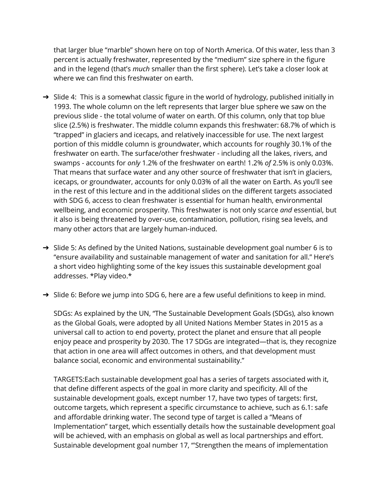that larger blue "marble" shown here on top of North America. Of this water, less than 3 percent is actually freshwater, represented by the "medium" size sphere in the figure and in the legend (that's *much* smaller than the first sphere). Let's take a closer look at where we can find this freshwater on earth.

- → Slide 4: This is a somewhat classic figure in the world of hydrology, published initially in 1993. The whole column on the left represents that larger blue sphere we saw on the previous slide - the total volume of water on earth. Of this column, only that top blue slice (2.5%) is freshwater. The middle column expands this freshwater: 68.7% of which is "trapped" in glaciers and icecaps, and relatively inaccessible for use. The next largest portion of this middle column is groundwater, which accounts for roughly 30.1% of the freshwater on earth. The surface/other freshwater - including all the lakes, rivers, and swamps - accounts for *only* 1.2% of the freshwater on earth! 1.2% *of* 2.5% is only 0.03%. That means that surface water and any other source of freshwater that isn't in glaciers, icecaps, or groundwater, accounts for only 0.03% of all the water on Earth. As you'll see in the rest of this lecture and in the additional slides on the different targets associated with SDG 6, access to clean freshwater is essential for human health, environmental wellbeing, and economic prosperity. This freshwater is not only scarce *and* essential, but it also is being threatened by over-use, contamination, pollution, rising sea levels, and many other actors that are largely human-induced.
- → Slide 5: As defined by the United Nations, sustainable development goal number 6 is to "ensure availability and sustainable management of water and sanitation for all." Here's a short video highlighting some of the key issues this sustainable development goal addresses. \*Play video.\*
- ➔ Slide 6: Before we jump into SDG 6, here are a few useful definitions to keep in mind.

SDGs: As explained by the UN, "The Sustainable Development Goals (SDGs), also known as the Global Goals, were adopted by all United Nations Member States in 2015 as a universal call to action to end poverty, protect the planet and ensure that all people enjoy peace and prosperity by 2030. The 17 SDGs are integrated—that is, they recognize that action in one area will affect outcomes in others, and that development must balance social, economic and environmental sustainability."

TARGETS:Each sustainable development goal has a series of targets associated with it, that define different aspects of the goal in more clarity and specificity. All of the sustainable development goals, except number 17, have two types of targets: first, outcome targets, which represent a specific circumstance to achieve, such as 6.1: safe and affordable drinking water. The second type of target is called a "Means of Implementation" target, which essentially details how the sustainable development goal will be achieved, with an emphasis on global as well as local partnerships and effort. Sustainable development goal number 17, "'Strengthen the means of implementation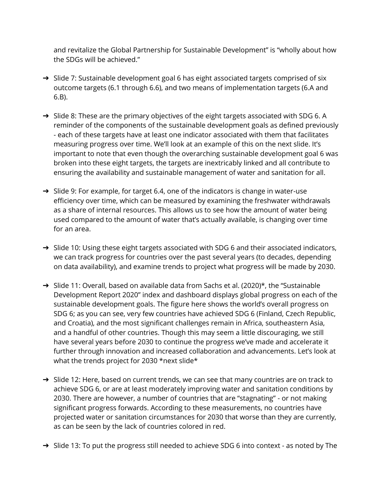and revitalize the Global Partnership for Sustainable Development" is "wholly about how the SDGs will be achieved."

- → Slide 7: Sustainable development goal 6 has eight associated targets comprised of six outcome targets (6.1 through 6.6), and two means of implementation targets (6.A and 6.B).
- → Slide 8: These are the primary objectives of the eight targets associated with SDG 6. A reminder of the components of the sustainable development goals as defined previously - each of these targets have at least one indicator associated with them that facilitates measuring progress over time. We'll look at an example of this on the next slide. It's important to note that even though the overarching sustainable development goal 6 was broken into these eight targets, the targets are inextricably linked and all contribute to ensuring the availability and sustainable management of water and sanitation for all.
- ➔ Slide 9: For example, for target 6.4, one of the indicators is change in water-use efficiency over time, which can be measured by examining the freshwater withdrawals as a share of internal resources. This allows us to see how the amount of water being used compared to the amount of water that's actually available, is changing over time for an area.
- → Slide 10: Using these eight targets associated with SDG 6 and their associated indicators, we can track progress for countries over the past several years (to decades, depending on data availability), and examine trends to project what progress will be made by 2030.
- ➔ Slide 11: Overall, based on available data from Sachs et al. (2020)\*, the "Sustainable Development Report 2020" index and dashboard displays global progress on each of the sustainable development goals. The figure here shows the world's overall progress on SDG 6; as you can see, very few countries have achieved SDG 6 (Finland, Czech Republic, and Croatia), and the most significant challenges remain in Africa, southeastern Asia, and a handful of other countries. Though this may seem a little discouraging, we still have several years before 2030 to continue the progress we've made and accelerate it further through innovation and increased collaboration and advancements. Let's look at what the trends project for 2030 \*next slide\*
- → Slide 12: Here, based on current trends, we can see that many countries are on track to achieve SDG 6, or are at least moderately improving water and sanitation conditions by 2030. There are however, a number of countries that are "stagnating" - or not making significant progress forwards. According to these measurements, no countries have projected water or sanitation circumstances for 2030 that worse than they are currently, as can be seen by the lack of countries colored in red.
- → Slide 13: To put the progress still needed to achieve SDG 6 into context as noted by The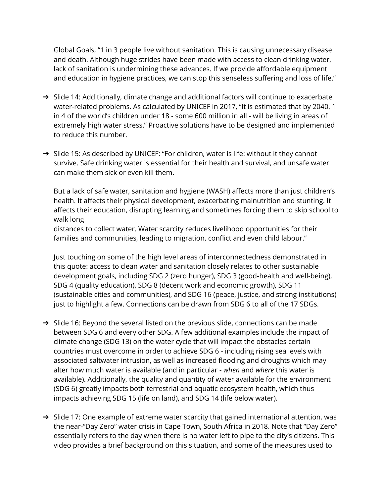Global Goals, "1 in 3 people live without sanitation. This is causing unnecessary disease and death. Although huge strides have been made with access to clean drinking water, lack of sanitation is undermining these advances. If we provide affordable equipment and education in hygiene practices, we can stop this senseless suffering and loss of life."

- → Slide 14: Additionally, climate change and additional factors will continue to exacerbate water-related problems. As calculated by UNICEF in 2017, "It is estimated that by 2040, 1 in 4 of the world's children under 18 - some 600 million in all - will be living in areas of extremely high water stress." Proactive solutions have to be designed and implemented to reduce this number.
- → Slide 15: As described by UNICEF: "For children, water is life: without it they cannot survive. Safe drinking water is essential for their health and survival, and unsafe water can make them sick or even kill them.

But a lack of safe water, sanitation and hygiene (WASH) affects more than just children's health. It affects their physical development, exacerbating malnutrition and stunting. It affects their education, disrupting learning and sometimes forcing them to skip school to walk long

distances to collect water. Water scarcity reduces livelihood opportunities for their families and communities, leading to migration, conflict and even child labour."

Just touching on some of the high level areas of interconnectedness demonstrated in this quote: access to clean water and sanitation closely relates to other sustainable development goals, including SDG 2 (zero hunger), SDG 3 (good-health and well-being), SDG 4 (quality education), SDG 8 (decent work and economic growth), SDG 11 (sustainable cities and communities), and SDG 16 (peace, justice, and strong institutions) just to highlight a few. Connections can be drawn from SDG 6 to all of the 17 SDGs.

- → Slide 16: Beyond the several listed on the previous slide, connections can be made between SDG 6 and every other SDG. A few additional examples include the impact of climate change (SDG 13) on the water cycle that will impact the obstacles certain countries must overcome in order to achieve SDG 6 - including rising sea levels with associated saltwater intrusion, as well as increased flooding and droughts which may alter how much water is available (and in particular - *when* and *where* this water is available). Additionally, the quality and quantity of water available for the environment (SDG 6) greatly impacts both terrestrial and aquatic ecosystem health, which thus impacts achieving SDG 15 (life on land), and SDG 14 (life below water).
- → Slide 17: One example of extreme water scarcity that gained international attention, was the near-"Day Zero" water crisis in Cape Town, South Africa in 2018. Note that "Day Zero" essentially refers to the day when there is no water left to pipe to the city's citizens. This video provides a brief background on this situation, and some of the measures used to